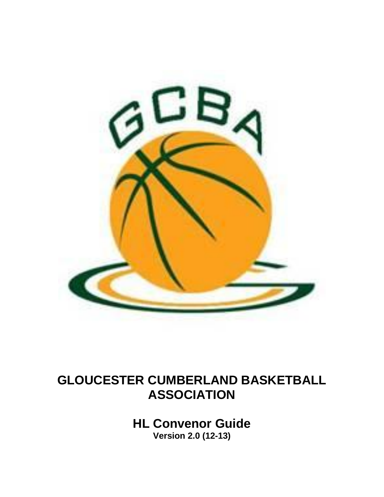

# **GLOUCESTER CUMBERLAND BASKETBALL ASSOCIATION**

## **HL Convenor Guide Version 2.0 (12-13)**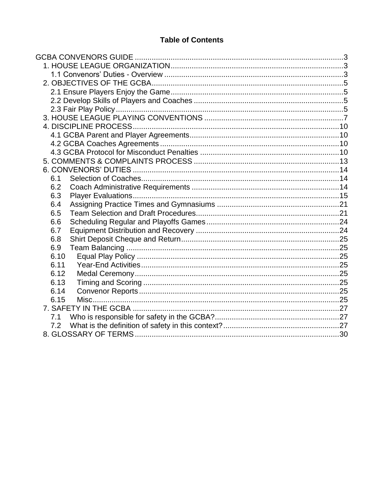## **Table of Contents**

| 6.1  |  |
|------|--|
| 6.2  |  |
| 6.3  |  |
| 6.4  |  |
| 6.5  |  |
| 6.6  |  |
| 6.7  |  |
| 6.8  |  |
| 6.9  |  |
| 6.10 |  |
| 6.11 |  |
| 6.12 |  |
| 6.13 |  |
| 6.14 |  |
| 6.15 |  |
|      |  |
| 7.1  |  |
| 7.2  |  |
|      |  |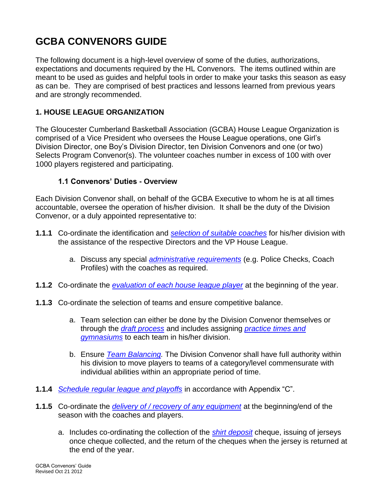## <span id="page-2-0"></span>**GCBA CONVENORS GUIDE**

The following document is a high-level overview of some of the duties, authorizations, expectations and documents required by the HL Convenors. The items outlined within are meant to be used as guides and helpful tools in order to make your tasks this season as easy as can be. They are comprised of best practices and lessons learned from previous years and are strongly recommended.

## <span id="page-2-1"></span>**1. HOUSE LEAGUE ORGANIZATION**

The Gloucester Cumberland Basketball Association (GCBA) House League Organization is comprised of a Vice President who oversees the House League operations, one Girl's Division Director, one Boy's Division Director, ten Division Convenors and one (or two) Selects Program Convenor(s). The volunteer coaches number in excess of 100 with over 1000 players registered and participating.

#### **1.1 Convenors' Duties - Overview**

<span id="page-2-2"></span>Each Division Convenor shall, on behalf of the GCBA Executive to whom he is at all times accountable, oversee the operation of his/her division. It shall be the duty of the Division Convenor, or a duly appointed representative to:

- **1.1.1** Co-ordinate the identification and *[selection of suitable coaches](#page-13-1)* for his/her division with the assistance of the respective Directors and the VP House League.
	- a. Discuss any special *[administrative requirements](#page-13-3)* (e.g. Police Checks, Coach Profiles) with the coaches as required.
- **1.1.2** Co-ordinate the *[evaluation of each house league player](#page-14-0)* at the beginning of the year.
- **1.1.3** Co-ordinate the selection of teams and ensure competitive balance.
	- a. Team selection can either be done by the Division Convenor themselves or through the *[draft process](#page-20-1)* and includes assigning *[practice times and](#page-20-0)  [gymnasiums](#page-20-0)* to each team in his/her division.
	- b. Ensure *[Team Balancing.](#page-24-1)* The Division Convenor shall have full authority within his division to move players to teams of a category/level commensurate with individual abilities within an appropriate period of time.
- **1.1.4** *[Schedule regular league and playoffs](#page-23-0)* in accordance with Appendix "C".
- **1.1.5** Co-ordinate the *[delivery of / recovery of any equipment](#page-23-1)* at the beginning/end of the season with the coaches and players.
	- a. Includes co-ordinating the collection of the *[shirt deposit](#page-24-0)* cheque, issuing of jerseys once cheque collected, and the return of the cheques when the jersey is returned at the end of the year.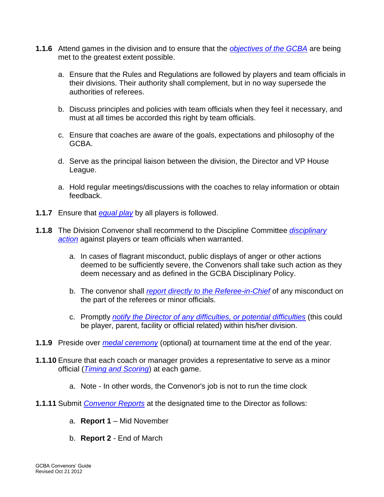- **1.1.6** Attend games in the division and to ensure that the *[objectives of the GCBA](#page-4-0)* are being met to the greatest extent possible.
	- a. Ensure that the Rules and Regulations are followed by players and team officials in their divisions. Their authority shall complement, but in no way supersede the authorities of referees.
	- b. Discuss principles and policies with team officials when they feel it necessary, and must at all times be accorded this right by team officials.
	- c. Ensure that coaches are aware of the goals, expectations and philosophy of the GCBA.
	- d. Serve as the principal liaison between the division, the Director and VP House League.
	- a. Hold regular meetings/discussions with the coaches to relay information or obtain feedback.
- **1.1.7** Ensure that *[equal play](#page-24-2)* by all players is followed.
- **1.1.8** The Division Convenor shall recommend to the Discipline Committee *[disciplinary](#page-9-0)  [action](#page-9-0)* against players or team officials when warranted.
	- a. In cases of flagrant misconduct, public displays of anger or other actions deemed to be sufficiently severe, the Convenors shall take such action as they deem necessary and as defined in the GCBA Disciplinary Policy.
	- b. The convenor shall *[report directly to the Referee-in-Chief](#page-9-3)* of any misconduct on the part of the referees or minor officials.
	- c. Promptly *[notify the Director of any difficulties, or potential difficulties](#page-9-3)* (this could be player, parent, facility or official related) within his/her division.
- **1.1.9** Preside over *[medal ceremony](#page-24-4)* (optional) at tournament time at the end of the year.
- **1.1.10** Ensure that each coach or manager provides a representative to serve as a minor official (*[Timing and Scoring](#page-24-5)*) at each game.
	- a. Note In other words, the Convenor's job is not to run the time clock
- **1.1.11** Submit *[Convenor Reports](#page-24-6)* at the designated time to the Director as follows:
	- a. **Report 1** Mid November
	- b. **Report 2**  End of March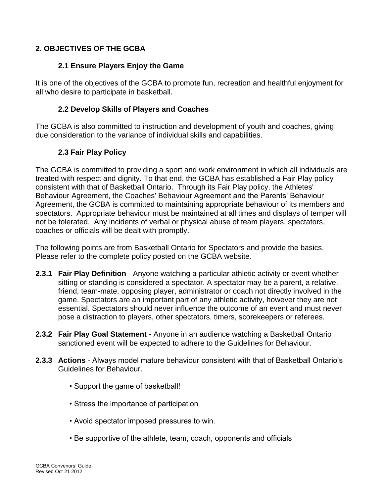## <span id="page-4-0"></span>**2. OBJECTIVES OF THE GCBA**

#### **2.1 Ensure Players Enjoy the Game**

<span id="page-4-1"></span>It is one of the objectives of the GCBA to promote fun, recreation and healthful enjoyment for all who desire to participate in basketball.

#### **2.2 Develop Skills of Players and Coaches**

<span id="page-4-2"></span>The GCBA is also committed to instruction and development of youth and coaches, giving due consideration to the variance of individual skills and capabilities.

#### **2.3 Fair Play Policy**

<span id="page-4-3"></span>The GCBA is committed to providing a sport and work environment in which all individuals are treated with respect and dignity. To that end, the GCBA has established a Fair Play policy consistent with that of Basketball Ontario. Through its Fair Play policy, the Athletes' Behaviour Agreement, the Coaches' Behaviour Agreement and the Parents' Behaviour Agreement, the GCBA is committed to maintaining appropriate behaviour of its members and spectators. Appropriate behaviour must be maintained at all times and displays of temper will not be tolerated. Any incidents of verbal or physical abuse of team players, spectators, coaches or officials will be dealt with promptly.

The following points are from Basketball Ontario for Spectators and provide the basics. Please refer to the complete policy posted on the GCBA website.

- **2.3.1 Fair Play Definition**  Anyone watching a particular athletic activity or event whether sitting or standing is considered a spectator. A spectator may be a parent, a relative, friend, team-mate, opposing player, administrator or coach not directly involved in the game. Spectators are an important part of any athletic activity, however they are not essential. Spectators should never influence the outcome of an event and must never pose a distraction to players, other spectators, timers, scorekeepers or referees.
- **2.3.2 Fair Play Goal Statement**  Anyone in an audience watching a Basketball Ontario sanctioned event will be expected to adhere to the Guidelines for Behaviour.
- **2.3.3 Actions**  Always model mature behaviour consistent with that of Basketball Ontario's Guidelines for Behaviour.
	- Support the game of basketball!
	- Stress the importance of participation
	- Avoid spectator imposed pressures to win.
	- Be supportive of the athlete, team, coach, opponents and officials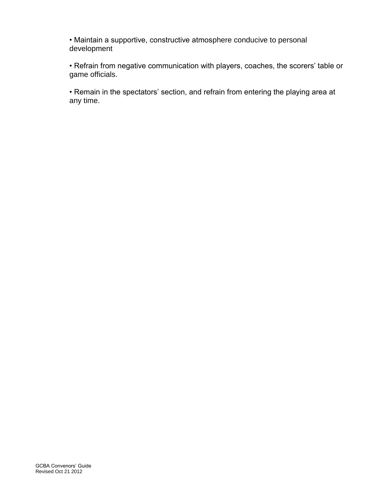• Maintain a supportive, constructive atmosphere conducive to personal development

• Refrain from negative communication with players, coaches, the scorers' table or game officials.

• Remain in the spectators' section, and refrain from entering the playing area at any time.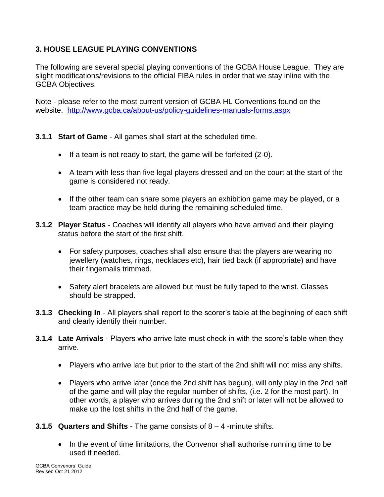## <span id="page-6-0"></span>**3. HOUSE LEAGUE PLAYING CONVENTIONS**

The following are several special playing conventions of the GCBA House League. They are slight modifications/revisions to the official FIBA rules in order that we stay inline with the GCBA Objectives.

Note - please refer to the most current version of GCBA HL Conventions found on the website. <http://www.gcba.ca/about-us/policy-guidelines-manuals-forms.aspx>

- **3.1.1 Start of Game** All games shall start at the scheduled time.
	- $\bullet$  If a team is not ready to start, the game will be forfeited (2-0).
	- A team with less than five legal players dressed and on the court at the start of the game is considered not ready.
	- If the other team can share some players an exhibition game may be played, or a team practice may be held during the remaining scheduled time.
- **3.1.2 Player Status** Coaches will identify all players who have arrived and their playing status before the start of the first shift.
	- For safety purposes, coaches shall also ensure that the players are wearing no jewellery (watches, rings, necklaces etc), hair tied back (if appropriate) and have their fingernails trimmed.
	- Safety alert bracelets are allowed but must be fully taped to the wrist. Glasses should be strapped.
- **3.1.3 Checking In**  All players shall report to the scorer's table at the beginning of each shift and clearly identify their number.
- **3.1.4 Late Arrivals** Players who arrive late must check in with the score's table when they arrive.
	- Players who arrive late but prior to the start of the 2nd shift will not miss any shifts.
	- Players who arrive later (once the 2nd shift has begun), will only play in the 2nd half of the game and will play the regular number of shifts, (i.e. 2 for the most part). In other words, a player who arrives during the 2nd shift or later will not be allowed to make up the lost shifts in the 2nd half of the game.
- **3.1.5 Quarters and Shifts**  The game consists of 8 4 -minute shifts.
	- In the event of time limitations, the Convenor shall authorise running time to be used if needed.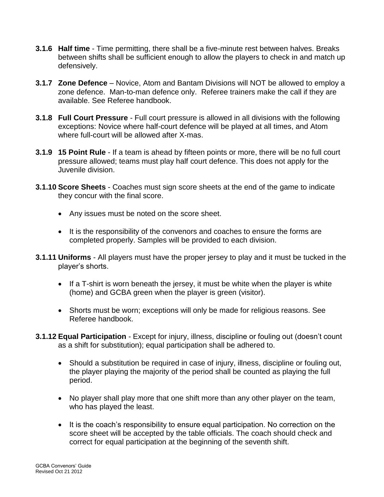- **3.1.6 Half time**  Time permitting, there shall be a five-minute rest between halves. Breaks between shifts shall be sufficient enough to allow the players to check in and match up defensively.
- **3.1.7 Zone Defence**  Novice, Atom and Bantam Divisions will NOT be allowed to employ a zone defence. Man-to-man defence only. Referee trainers make the call if they are available. See Referee handbook.
- **3.1.8 Full Court Pressure** Full court pressure is allowed in all divisions with the following exceptions: Novice where half-court defence will be played at all times, and Atom where full-court will be allowed after X-mas.
- **3.1.9 15 Point Rule**  If a team is ahead by fifteen points or more, there will be no full court pressure allowed; teams must play half court defence. This does not apply for the Juvenile division.
- **3.1.10 Score Sheets**  Coaches must sign score sheets at the end of the game to indicate they concur with the final score.
	- Any issues must be noted on the score sheet.
	- It is the responsibility of the convenors and coaches to ensure the forms are completed properly. Samples will be provided to each division.
- **3.1.11 Uniforms**  All players must have the proper jersey to play and it must be tucked in the player's shorts.
	- If a T-shirt is worn beneath the jersey, it must be white when the player is white (home) and GCBA green when the player is green (visitor).
	- Shorts must be worn; exceptions will only be made for religious reasons. See Referee handbook.
- **3.1.12 Equal Participation**  Except for injury, illness, discipline or fouling out (doesn't count as a shift for substitution); equal participation shall be adhered to.
	- Should a substitution be required in case of injury, illness, discipline or fouling out, the player playing the majority of the period shall be counted as playing the full period.
	- No player shall play more that one shift more than any other player on the team, who has played the least.
	- It is the coach's responsibility to ensure equal participation. No correction on the score sheet will be accepted by the table officials. The coach should check and correct for equal participation at the beginning of the seventh shift.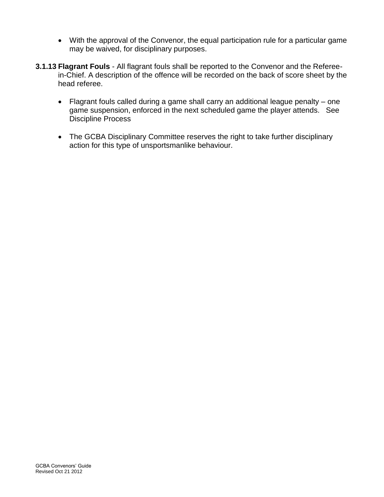- With the approval of the Convenor, the equal participation rule for a particular game may be waived, for disciplinary purposes.
- **3.1.13 Flagrant Fouls** All flagrant fouls shall be reported to the Convenor and the Refereein-Chief. A description of the offence will be recorded on the back of score sheet by the head referee.
	- Flagrant fouls called during a game shall carry an additional league penalty one game suspension, enforced in the next scheduled game the player attends. See Discipline Process
	- The GCBA Disciplinary Committee reserves the right to take further disciplinary action for this type of unsportsmanlike behaviour.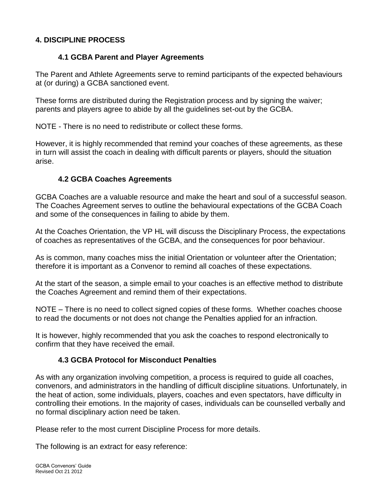## <span id="page-9-0"></span>**4. DISCIPLINE PROCESS**

## **4.1 GCBA Parent and Player Agreements**

<span id="page-9-1"></span>The Parent and Athlete Agreements serve to remind participants of the expected behaviours at (or during) a GCBA sanctioned event.

These forms are distributed during the Registration process and by signing the waiver; parents and players agree to abide by all the guidelines set-out by the GCBA.

NOTE - There is no need to redistribute or collect these forms.

However, it is highly recommended that remind your coaches of these agreements, as these in turn will assist the coach in dealing with difficult parents or players, should the situation arise.

## **4.2 GCBA Coaches Agreements**

<span id="page-9-2"></span>GCBA Coaches are a valuable resource and make the heart and soul of a successful season. The Coaches Agreement serves to outline the behavioural expectations of the GCBA Coach and some of the consequences in failing to abide by them.

At the Coaches Orientation, the VP HL will discuss the Disciplinary Process, the expectations of coaches as representatives of the GCBA, and the consequences for poor behaviour.

As is common, many coaches miss the initial Orientation or volunteer after the Orientation; therefore it is important as a Convenor to remind all coaches of these expectations.

At the start of the season, a simple email to your coaches is an effective method to distribute the Coaches Agreement and remind them of their expectations.

NOTE – There is no need to collect signed copies of these forms. Whether coaches choose to read the documents or not does not change the Penalties applied for an infraction.

It is however, highly recommended that you ask the coaches to respond electronically to confirm that they have received the email.

## **4.3 GCBA Protocol for Misconduct Penalties**

<span id="page-9-3"></span>As with any organization involving competition, a process is required to guide all coaches, convenors, and administrators in the handling of difficult discipline situations. Unfortunately, in the heat of action, some individuals, players, coaches and even spectators, have difficulty in controlling their emotions. In the majority of cases, individuals can be counselled verbally and no formal disciplinary action need be taken.

Please refer to the most current Discipline Process for more details.

The following is an extract for easy reference: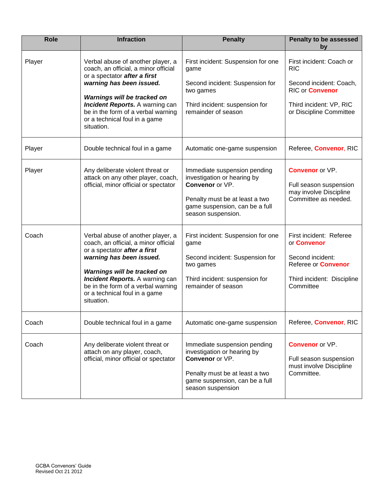| <b>Role</b> | <b>Infraction</b>                                                                                                                                                                                                                                                                                          | <b>Penalty</b>                                                                                                                                                                  | Penalty to be assessed<br>by                                                                                                                      |
|-------------|------------------------------------------------------------------------------------------------------------------------------------------------------------------------------------------------------------------------------------------------------------------------------------------------------------|---------------------------------------------------------------------------------------------------------------------------------------------------------------------------------|---------------------------------------------------------------------------------------------------------------------------------------------------|
| Player      | Verbal abuse of another player, a<br>coach, an official, a minor official<br>or a spectator <b>after a first</b><br>warning has been issued.<br>Warnings will be tracked on<br><b>Incident Reports.</b> A warning can<br>be in the form of a verbal warning<br>or a technical foul in a game<br>situation. | First incident: Suspension for one<br>game<br>Second incident: Suspension for<br>two games<br>Third incident: suspension for<br>remainder of season                             | First incident: Coach or<br><b>RIC</b><br>Second incident: Coach,<br><b>RIC or Convenor</b><br>Third incident: VP, RIC<br>or Discipline Committee |
| Player      | Double technical foul in a game                                                                                                                                                                                                                                                                            | Automatic one-game suspension                                                                                                                                                   | Referee, Convenor, RIC                                                                                                                            |
| Player      | Any deliberate violent threat or<br>attack on any other player, coach,<br>official, minor official or spectator                                                                                                                                                                                            | Immediate suspension pending<br>investigation or hearing by<br><b>Convenor</b> or VP.<br>Penalty must be at least a two<br>game suspension, can be a full<br>season suspension. | <b>Convenor</b> or VP.<br>Full season suspension<br>may involve Discipline<br>Committee as needed.                                                |
| Coach       | Verbal abuse of another player, a<br>coach, an official, a minor official<br>or a spectator <b>after a first</b><br>warning has been issued.<br>Warnings will be tracked on<br><b>Incident Reports.</b> A warning can<br>be in the form of a verbal warning<br>or a technical foul in a game<br>situation. | First incident: Suspension for one<br>game<br>Second incident: Suspension for<br>two games<br>Third incident: suspension for<br>remainder of season                             | First incident: Referee<br>or <b>Convenor</b><br>Second incident:<br>Referee or <b>Convenor</b><br>Third incident: Discipline<br>Committee        |
| Coach       | Double technical foul in a game                                                                                                                                                                                                                                                                            | Automatic one-game suspension                                                                                                                                                   | Referee, Convenor, RIC                                                                                                                            |
| Coach       | Any deliberate violent threat or<br>attach on any player, coach,<br>official, minor official or spectator                                                                                                                                                                                                  | Immediate suspension pending<br>investigation or hearing by<br><b>Convenor</b> or VP.<br>Penalty must be at least a two<br>game suspension, can be a full<br>season suspension  | <b>Convenor</b> or VP.<br>Full season suspension<br>must involve Discipline<br>Committee.                                                         |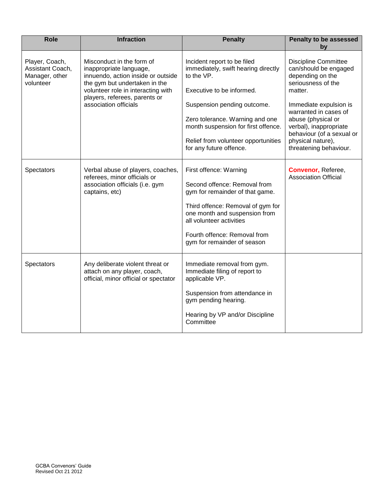| <b>Role</b>                                                       | <b>Infraction</b>                                                                                                                                                                                                           | <b>Penalty</b>                                                                                                                                                                                                                                                                           | <b>Penalty to be assessed</b><br>by                                                                                                                                                                                                                                                      |
|-------------------------------------------------------------------|-----------------------------------------------------------------------------------------------------------------------------------------------------------------------------------------------------------------------------|------------------------------------------------------------------------------------------------------------------------------------------------------------------------------------------------------------------------------------------------------------------------------------------|------------------------------------------------------------------------------------------------------------------------------------------------------------------------------------------------------------------------------------------------------------------------------------------|
| Player, Coach,<br>Assistant Coach,<br>Manager, other<br>volunteer | Misconduct in the form of<br>inappropriate language,<br>innuendo, action inside or outside<br>the gym but undertaken in the<br>volunteer role in interacting with<br>players, referees, parents or<br>association officials | Incident report to be filed<br>immediately, swift hearing directly<br>to the VP.<br>Executive to be informed.<br>Suspension pending outcome.<br>Zero tolerance. Warning and one<br>month suspension for first offence.<br>Relief from volunteer opportunities<br>for any future offence. | <b>Discipline Committee</b><br>can/should be engaged<br>depending on the<br>seriousness of the<br>matter.<br>Immediate expulsion is<br>warranted in cases of<br>abuse (physical or<br>verbal), inappropriate<br>behaviour (of a sexual or<br>physical nature),<br>threatening behaviour. |
| Spectators                                                        | Verbal abuse of players, coaches,<br>referees, minor officials or<br>association officials (i.e. gym<br>captains, etc)                                                                                                      | First offence: Warning<br>Second offence: Removal from<br>gym for remainder of that game.<br>Third offence: Removal of gym for<br>one month and suspension from<br>all volunteer activities<br>Fourth offence: Removal from<br>gym for remainder of season                               | <b>Convenor, Referee,</b><br><b>Association Official</b>                                                                                                                                                                                                                                 |
| Spectators                                                        | Any deliberate violent threat or<br>attach on any player, coach,<br>official, minor official or spectator                                                                                                                   | Immediate removal from gym.<br>Immediate filing of report to<br>applicable VP.<br>Suspension from attendance in<br>gym pending hearing.<br>Hearing by VP and/or Discipline<br>Committee                                                                                                  |                                                                                                                                                                                                                                                                                          |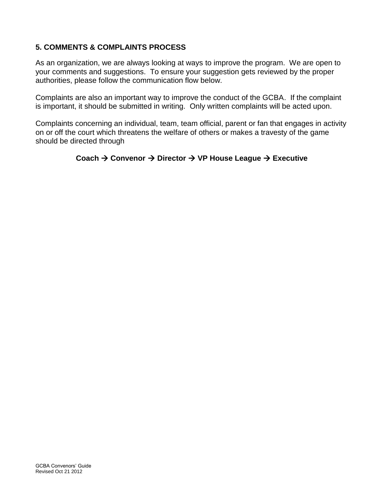## <span id="page-12-0"></span>**5. COMMENTS & COMPLAINTS PROCESS**

As an organization, we are always looking at ways to improve the program. We are open to your comments and suggestions. To ensure your suggestion gets reviewed by the proper authorities, please follow the communication flow below.

Complaints are also an important way to improve the conduct of the GCBA. If the complaint is important, it should be submitted in writing. Only written complaints will be acted upon.

Complaints concerning an individual, team, team official, parent or fan that engages in activity on or off the court which threatens the welfare of others or makes a travesty of the game should be directed through

## **Coach → Convenor → Director → VP House League → Executive**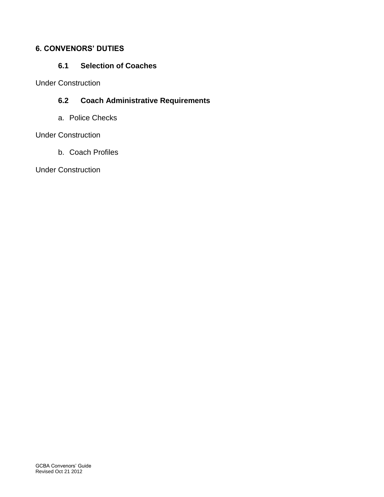#### <span id="page-13-0"></span>**6. CONVENORS' DUTIES**

#### <span id="page-13-3"></span>**6.1 Selection of Coaches**

<span id="page-13-2"></span><span id="page-13-1"></span>Under Construction

## **6.2 Coach Administrative Requirements**

a. Police Checks

## Under Construction

b. Coach Profiles

Under Construction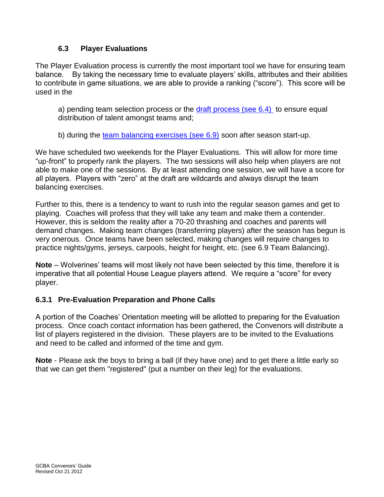## **6.3 Player Evaluations**

<span id="page-14-0"></span>The Player Evaluation process is currently the most important tool we have for ensuring team balance. By taking the necessary time to evaluate players' skills, attributes and their abilities to contribute in game situations, we are able to provide a ranking ("score"). This score will be used in the

a) pending team selection process or the [draft process \(see 6.4\)](#page-20-1) to ensure equal distribution of talent amongst teams and;

b) during the [team balancing exercises \(see 6.9\)](#page-24-1) soon after season start-up.

We have scheduled two weekends for the Player Evaluations. This will allow for more time "up-front" to properly rank the players. The two sessions will also help when players are not able to make one of the sessions. By at least attending one session, we will have a score for all players. Players with "zero" at the draft are wildcards and always disrupt the team balancing exercises.

Further to this, there is a tendency to want to rush into the regular season games and get to playing. Coaches will profess that they will take any team and make them a contender. However, this is seldom the reality after a 70-20 thrashing and coaches and parents will demand changes. Making team changes (transferring players) after the season has begun is very onerous. Once teams have been selected, making changes will require changes to practice nights/gyms, jerseys, carpools, height for height, etc. (see 6.9 Team Balancing).

**Note** – Wolverines' teams will most likely not have been selected by this time, therefore it is imperative that all potential House League players attend. We require a "score" for every player.

## **6.3.1 Pre-Evaluation Preparation and Phone Calls**

A portion of the Coaches' Orientation meeting will be allotted to preparing for the Evaluation process. Once coach contact information has been gathered, the Convenors will distribute a list of players registered in the division. These players are to be invited to the Evaluations and need to be called and informed of the time and gym.

**Note** - Please ask the boys to bring a ball (if they have one) and to get there a little early so that we can get them "registered" (put a number on their leg) for the evaluations.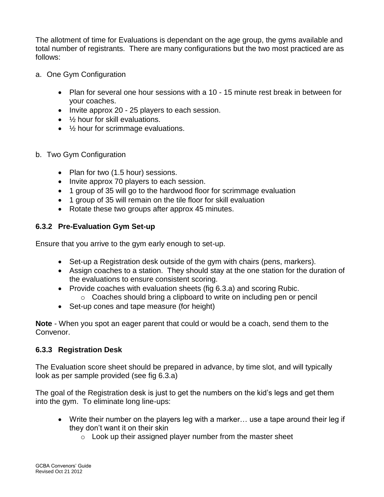The allotment of time for Evaluations is dependant on the age group, the gyms available and total number of registrants. There are many configurations but the two most practiced are as follows:

- a. One Gym Configuration
	- Plan for several one hour sessions with a 10 15 minute rest break in between for your coaches.
	- Invite approx 20 25 players to each session.
	- 1/<sub>2</sub> hour for skill evaluations.
	- $\frac{1}{2}$  hour for scrimmage evaluations.
- b. Two Gym Configuration
	- Plan for two (1.5 hour) sessions.
	- Invite approx 70 players to each session.
	- 1 group of 35 will go to the hardwood floor for scrimmage evaluation
	- 1 group of 35 will remain on the tile floor for skill evaluation
	- Rotate these two groups after approx 45 minutes.

## **6.3.2 Pre-Evaluation Gym Set-up**

Ensure that you arrive to the gym early enough to set-up.

- Set-up a Registration desk outside of the gym with chairs (pens, markers).
- Assign coaches to a station. They should stay at the one station for the duration of the evaluations to ensure consistent scoring.
- Provide coaches with evaluation sheets (fig 6.3.a) and scoring Rubic.
	- o Coaches should bring a clipboard to write on including pen or pencil
- Set-up cones and tape measure (for height)

**Note** - When you spot an eager parent that could or would be a coach, send them to the Convenor.

## **6.3.3 Registration Desk**

The Evaluation score sheet should be prepared in advance, by time slot, and will typically look as per sample provided (see fig 6.3.a)

The goal of the Registration desk is just to get the numbers on the kid's legs and get them into the gym. To eliminate long line-ups:

- Write their number on the players leg with a marker... use a tape around their leg if they don't want it on their skin
	- o Look up their assigned player number from the master sheet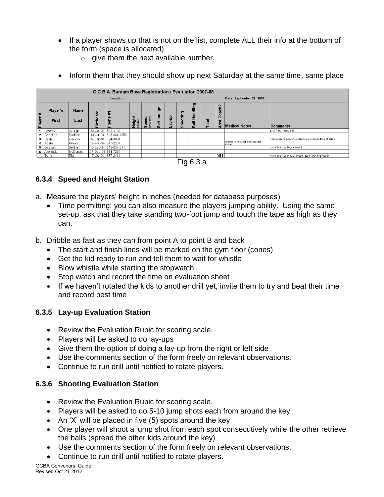- If a player shows up that is not on the list, complete ALL their info at the bottom of the form (space is allocated)
	- o give them the next available number.
- Inform them that they should show up next Saturday at the same time, same place



## **6.3.4 Speed and Height Station**

- a. Measure the players' height in inches (needed for database purposes)
	- Time permitting; you can also measure the players jumping ability. Using the same set-up, ask that they take standing two-foot jump and touch the tape as high as they can.
- b. Dribble as fast as they can from point A to point B and back
	- The start and finish lines will be marked on the gym floor (cones)
	- Get the kid ready to run and tell them to wait for whistle
	- Blow whistle while starting the stopwatch
	- Stop watch and record the time on evaluation sheet
	- If we haven't rotated the kids to another drill yet, invite them to try and beat their time and record best time

## **6.3.5 Lay-up Evaluation Station**

- Review the Evaluation Rubic for scoring scale.
- Players will be asked to do lay-ups
- Give them the option of doing a lay-up from the right or left side
- Use the comments section of the form freely on relevant observations.
- Continue to run drill until notified to rotate players.

## **6.3.6 Shooting Evaluation Station**

- Review the Evaluation Rubic for scoring scale.
- Players will be asked to do 5-10 jump shots each from around the key
- An 'X' will be placed in five  $(5)$  spots around the key
- One player will shoot a jump shot from each spot consecutively while the other retrieve the balls (spread the other kids around the key)
- Use the comments section of the form freely on relevant observations.
- Continue to run drill until notified to rotate players.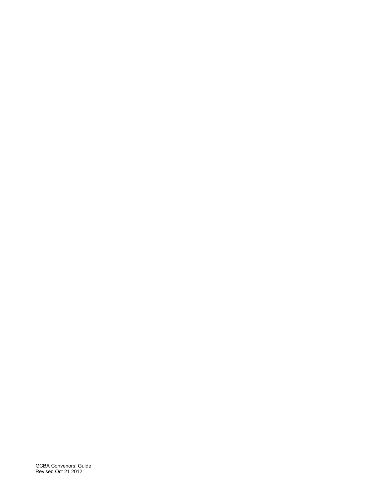GCBA Convenors' Guide Revised Oct 21 2012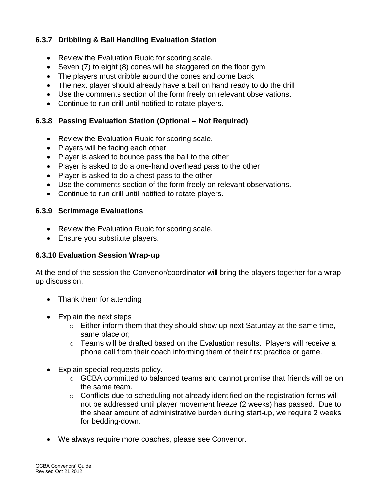## **6.3.7 Dribbling & Ball Handling Evaluation Station**

- Review the Evaluation Rubic for scoring scale.
- Seven (7) to eight (8) cones will be staggered on the floor gym
- The players must dribble around the cones and come back
- The next player should already have a ball on hand ready to do the drill
- Use the comments section of the form freely on relevant observations.
- Continue to run drill until notified to rotate players.

#### **6.3.8 Passing Evaluation Station (Optional – Not Required)**

- Review the Evaluation Rubic for scoring scale.
- Players will be facing each other
- Player is asked to bounce pass the ball to the other
- Player is asked to do a one-hand overhead pass to the other
- Player is asked to do a chest pass to the other
- Use the comments section of the form freely on relevant observations.
- Continue to run drill until notified to rotate players.

#### **6.3.9 Scrimmage Evaluations**

- Review the Evaluation Rubic for scoring scale.
- Ensure you substitute players.

#### **6.3.10 Evaluation Session Wrap-up**

At the end of the session the Convenor/coordinator will bring the players together for a wrapup discussion.

- Thank them for attending
- Explain the next steps
	- $\circ$  Either inform them that they should show up next Saturday at the same time, same place or;
	- $\circ$  Teams will be drafted based on the Evaluation results. Players will receive a phone call from their coach informing them of their first practice or game.
- Explain special requests policy.
	- o GCBA committed to balanced teams and cannot promise that friends will be on the same team.
	- o Conflicts due to scheduling not already identified on the registration forms will not be addressed until player movement freeze (2 weeks) has passed. Due to the shear amount of administrative burden during start-up, we require 2 weeks for bedding-down.
- We always require more coaches, please see Convenor.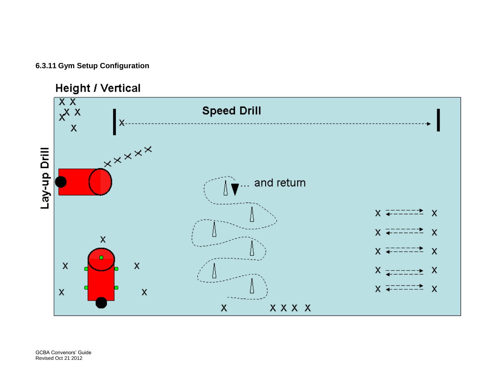## **6.3.11 Gym Setup Configuration**

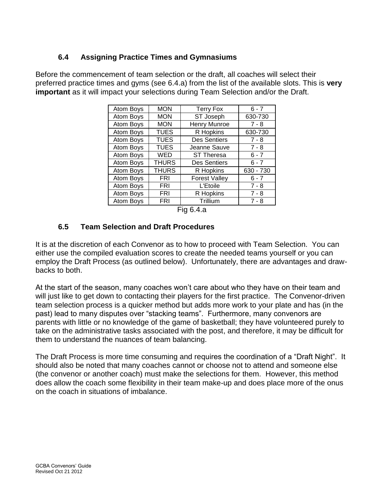## **6.4 Assigning Practice Times and Gymnasiums**

<span id="page-20-0"></span>Before the commencement of team selection or the draft, all coaches will select their preferred practice times and gyms (see 6.4.a) from the list of the available slots. This is **very important** as it will impact your selections during Team Selection and/or the Draft.

| <b>MON</b>   | <b>Terry Fox</b>     | $6 - 7$   |
|--------------|----------------------|-----------|
| <b>MON</b>   | ST Joseph            | 630-730   |
| <b>MON</b>   | Henry Munroe         | $7 - 8$   |
| <b>TUES</b>  | R Hopkins            | 630-730   |
| <b>TUES</b>  | <b>Des Sentiers</b>  | $7 - 8$   |
| <b>TUES</b>  | Jeanne Sauve         | $7 - 8$   |
| WED          | <b>ST Theresa</b>    | $6 - 7$   |
| <b>THURS</b> | <b>Des Sentiers</b>  | $6 - 7$   |
| <b>THURS</b> | R Hopkins            | 630 - 730 |
| <b>FRI</b>   | <b>Forest Valley</b> | $6 - 7$   |
| <b>FRI</b>   | L'Etoile             | $7 - 8$   |
| FRI          | R Hopkins            | $7 - 8$   |
| FRI          | Trillium             | $7 - 8$   |
|              |                      |           |



## **6.5 Team Selection and Draft Procedures**

<span id="page-20-1"></span>It is at the discretion of each Convenor as to how to proceed with Team Selection. You can either use the compiled evaluation scores to create the needed teams yourself or you can employ the Draft Process (as outlined below). Unfortunately, there are advantages and drawbacks to both.

At the start of the season, many coaches won't care about who they have on their team and will just like to get down to contacting their players for the first practice. The Convenor-driven team selection process is a quicker method but adds more work to your plate and has (in the past) lead to many disputes over "stacking teams". Furthermore, many convenors are parents with little or no knowledge of the game of basketball; they have volunteered purely to take on the administrative tasks associated with the post, and therefore, it may be difficult for them to understand the nuances of team balancing.

The Draft Process is more time consuming and requires the coordination of a "Draft Night". It should also be noted that many coaches cannot or choose not to attend and someone else (the convenor or another coach) must make the selections for them. However, this method does allow the coach some flexibility in their team make-up and does place more of the onus on the coach in situations of imbalance.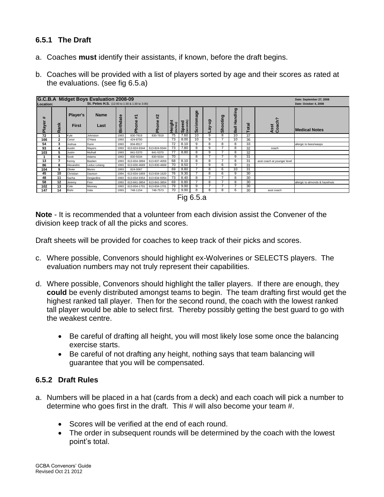## **6.5.1 The Draft**

- a. Coaches **must** identify their assistants, if known, before the draft begins.
- b. Coaches will be provided with a list of players sorted by age and their scores as rated at the evaluations. (see fig 6.5.a)

| Location:   |      |                          | G.C.B.A Midget Boys Evaluation 2008-09<br>St. Petes H.S. (12:00 to 1:30 & 1:30 to 3:00) |           |              |                         |                         |                    |                |         |                |                  |              |                             | Date: September 27, 2008<br>Date: October 4, 2008 |
|-------------|------|--------------------------|-----------------------------------------------------------------------------------------|-----------|--------------|-------------------------|-------------------------|--------------------|----------------|---------|----------------|------------------|--------------|-----------------------------|---------------------------------------------------|
| #<br>Player | Rank | Player's<br><b>First</b> | <b>Name</b><br>Last                                                                     | Birthdate | #<br>٥e<br>홑 | #2<br><sup>P</sup> hone | Height<br>es)<br>(inche | (seconds)<br>Speed | rimmage<br>မ္တ | 읔<br>ζĒ | Shooting       | Handling<br>Ball | <b>Total</b> | î٦<br>Coacl<br>ぁ<br>⋖       | <b>Medical Notes</b>                              |
| 72          |      | Kyle                     | Johnston                                                                                | 1993      | 830-7919     | 830-7919                | 75                      | 7.60               | 10             | 9       | 8              | 10               | 37           |                             |                                                   |
| 166         | ົ    | Conor                    | O'Hara                                                                                  | 1993      | 424-8750     |                         | 73                      | 8.00               | 10             | 9       |                | 10               | 36           |                             |                                                   |
| 54          | 3    | Joshua                   | Dunn                                                                                    | 1993      | 834-8517     |                         | 72                      | 8.10               | 9              | 8       | 8              | 8                | 33           |                             | allergic to bees/wasps                            |
| 93          |      | Austin                   | Mayers                                                                                  | 1993      | 613-824-9344 | 613-824-9344            | 73                      | 7.80               | 8              | 9       |                | 8                | 32           | coach                       |                                                   |
| 103         | 5    | Justin                   | Mulhall                                                                                 | 1993      | 841-5370     | 841-5370                | 77                      | 8.80               | 8              | 9       | $\rightarrow$  | 8                | 32           |                             |                                                   |
|             | 6    | Scott                    | Adams                                                                                   | 1993      | 830-5034     | 830-5034                | 70                      |                    | 8              |         | $\rightarrow$  | 9                | 31           |                             |                                                   |
| 13          |      | Kenny                    | Bastien                                                                                 | 1993      | 613-834-3894 | 613-837-4059            | 68                      | 8.10               | 8              | 8       | $\overline{ }$ | 8                | 31           | asst coach at younger level |                                                   |
| 86          | 8    | Alexandre                | Leduc-Letang                                                                            | 1993      | 613-830-4669 | 613-830-4669            | 70                      | 8.50               |                | 9       | 6              | 9                | 31           |                             |                                                   |
| 104         | 9    | Olivier                  | Munro                                                                                   | 1993      | 824-0067     |                         | 69                      | 8.80               |                | 8       | 6              | 10               | 31           |                             |                                                   |
| 45          | 10   | Christian                | Davison                                                                                 | 1994      | 613-834-1859 | 613-834-1620            | 76                      | 9.30               | -              | 8       | 6              | 9                | 30           |                             |                                                   |
| 48          | 11   | Sacha                    | Desiardins                                                                              | 1993      | 613-834-9354 | 613-834-9354            | 73                      | 8.40               | 8              |         |                | 8                | 30           |                             |                                                   |
| 58          | 12   | Jeremy                   | Finn                                                                                    | 1993      | 613-841-3854 | 613-841-3854            | 69                      | 8.80               | $\overline{ }$ | 8       | -              | 8                | 30           |                             | allergic to almonds & hazelnuts                   |
| 102         | 13   | Cole                     | Mooney                                                                                  | 1993      | 613-834-1701 | 613-834-1701            | 79                      | 9.90               | 9              |         | -              |                  | 30           |                             |                                                   |
| 147         | 14   | Rishi                    | Vala                                                                                    | 1993      | 748-1154     | 748-7573                | 70                      | 9.90               | 8              | 8       | 8              | 6                | 30           | asst coach                  |                                                   |



**Note** - It is recommended that a volunteer from each division assist the Convener of the division keep track of all the picks and scores.

Draft sheets will be provided for coaches to keep track of their picks and scores.

- c. Where possible, Convenors should highlight ex-Wolverines or SELECTS players. The evaluation numbers may not truly represent their capabilities.
- d. Where possible, Convenors should highlight the taller players. If there are enough, they **could** be evenly distributed amongst teams to begin. The team drafting first would get the highest ranked tall player. Then for the second round, the coach with the lowest ranked tall player would be able to select first. Thereby possibly getting the best guard to go with the weakest centre.
	- Be careful of drafting all height, you will most likely lose some once the balancing exercise starts.
	- Be careful of not drafting any height, nothing says that team balancing will guarantee that you will be compensated.

## **6.5.2 Draft Rules**

- a. Numbers will be placed in a hat (cards from a deck) and each coach will pick a number to determine who goes first in the draft. This # will also become your team #.
	- Scores will be verified at the end of each round.
	- The order in subsequent rounds will be determined by the coach with the lowest point's total.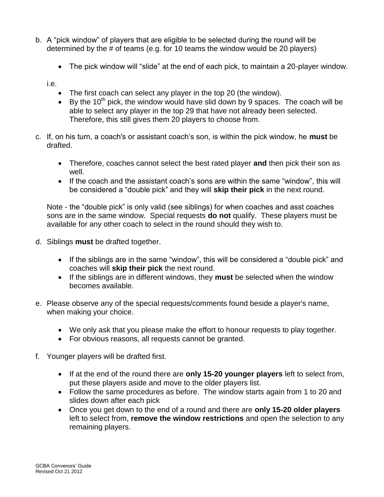- b. A "pick window" of players that are eligible to be selected during the round will be determined by the # of teams (e.g. for 10 teams the window would be 20 players)
	- The pick window will "slide" at the end of each pick, to maintain a 20-player window.

i.e.

- The first coach can select any player in the top 20 (the window).
- By the 10<sup>th</sup> pick, the window would have slid down by 9 spaces. The coach will be able to select any player in the top 29 that have not already been selected. Therefore, this still gives them 20 players to choose from.
- c. If, on his turn, a coach's or assistant coach's son, is within the pick window, he **must** be drafted.
	- Therefore, coaches cannot select the best rated player **and** then pick their son as well.
	- If the coach and the assistant coach's sons are within the same "window", this will be considered a "double pick" and they will **skip their pick** in the next round.

Note - the "double pick" is only valid (see siblings) for when coaches and asst coaches sons are in the same window. Special requests **do not** qualify. These players must be available for any other coach to select in the round should they wish to.

- d. Siblings **must** be drafted together.
	- If the siblings are in the same "window", this will be considered a "double pick" and coaches will **skip their pick** the next round.
	- If the siblings are in different windows, they **must** be selected when the window becomes available.
- e. Please observe any of the special requests/comments found beside a player's name, when making your choice.
	- We only ask that you please make the effort to honour requests to play together.
	- For obvious reasons, all requests cannot be granted.
- f. Younger players will be drafted first.
	- If at the end of the round there are **only 15-20 younger players** left to select from, put these players aside and move to the older players list.
	- Follow the same procedures as before. The window starts again from 1 to 20 and slides down after each pick
	- Once you get down to the end of a round and there are **only 15-20 older players** left to select from, **remove the window restrictions** and open the selection to any remaining players.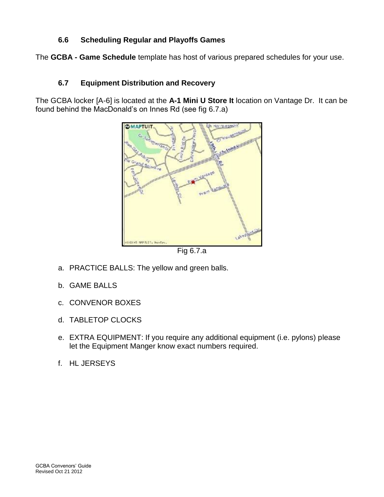## **6.6 Scheduling Regular and Playoffs Games**

<span id="page-23-0"></span>The **GCBA - Game Schedule** template has host of various prepared schedules for your use.

## **6.7 Equipment Distribution and Recovery**

<span id="page-23-1"></span>The GCBA locker [A-6] is located at the **A-1 Mini U Store It** location on Vantage Dr. It can be found behind the MacDonald's on Innes Rd (see fig 6.7.a)



Fig 6.7.a

- a. PRACTICE BALLS: The yellow and green balls.
- b. GAME BALLS
- c. CONVENOR BOXES
- d. TABLETOP CLOCKS
- e. EXTRA EQUIPMENT: If you require any additional equipment (i.e. pylons) please let the Equipment Manger know exact numbers required.
- f. HL JERSEYS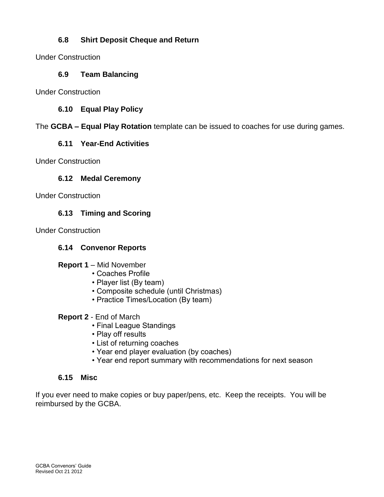## **6.8 Shirt Deposit Cheque and Return**

<span id="page-24-1"></span><span id="page-24-0"></span>Under Construction

## **6.9 Team Balancing**

Under Construction

## **6.10 Equal Play Policy**

<span id="page-24-2"></span>The **GCBA – Equal Play Rotation** template can be issued to coaches for use during games.

## **6.11 Year-End Activities**

<span id="page-24-4"></span><span id="page-24-3"></span>Under Construction

## **6.12 Medal Ceremony**

<span id="page-24-5"></span>Under Construction

## **6.13 Timing and Scoring**

<span id="page-24-6"></span>Under Construction

## **6.14 Convenor Reports**

## **Report 1** – Mid November

- Coaches Profile
- Player list (By team)
- Composite schedule (until Christmas)
- Practice Times/Location (By team)

#### **Report 2** - End of March

- Final League Standings
- Play off results
- List of returning coaches
- Year end player evaluation (by coaches)
- Year end report summary with recommendations for next season

## **6.15 Misc**

<span id="page-24-7"></span>If you ever need to make copies or buy paper/pens, etc. Keep the receipts. You will be reimbursed by the GCBA.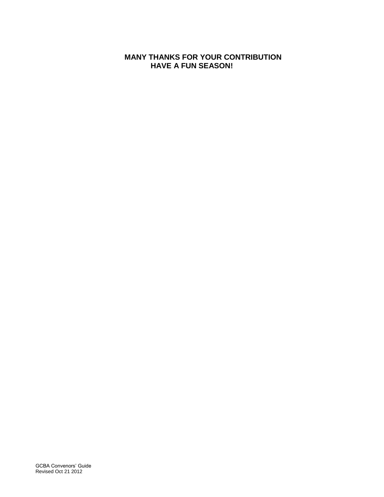## **MANY THANKS FOR YOUR CONTRIBUTION HAVE A FUN SEASON!**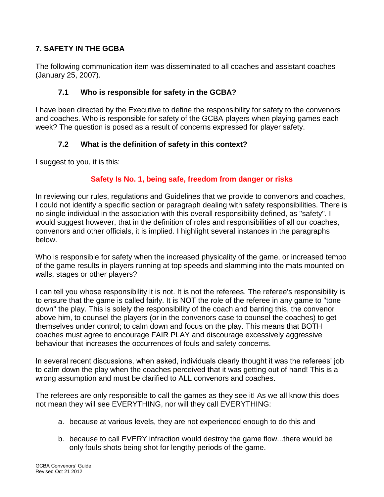## <span id="page-26-0"></span>**7. SAFETY IN THE GCBA**

The following communication item was disseminated to all coaches and assistant coaches (January 25, 2007).

## **7.1 Who is responsible for safety in the GCBA?**

<span id="page-26-1"></span>I have been directed by the Executive to define the responsibility for safety to the convenors and coaches. Who is responsible for safety of the GCBA players when playing games each week? The question is posed as a result of concerns expressed for player safety.

## **7.2 What is the definition of safety in this context?**

<span id="page-26-2"></span>I suggest to you, it is this:

## **Safety Is No. 1, being safe, freedom from danger or risks**

In reviewing our rules, regulations and Guidelines that we provide to convenors and coaches, I could not identify a specific section or paragraph dealing with safety responsibilities. There is no single individual in the association with this overall responsibility defined, as "safety". I would suggest however, that in the definition of roles and responsibilities of all our coaches, convenors and other officials, it is implied. I highlight several instances in the paragraphs below.

Who is responsible for safety when the increased physicality of the game, or increased tempo of the game results in players running at top speeds and slamming into the mats mounted on walls, stages or other players?

I can tell you whose responsibility it is not. It is not the referees. The referee's responsibility is to ensure that the game is called fairly. It is NOT the role of the referee in any game to "tone down" the play. This is solely the responsibility of the coach and barring this, the convenor above him, to counsel the players (or in the convenors case to counsel the coaches) to get themselves under control; to calm down and focus on the play. This means that BOTH coaches must agree to encourage FAIR PLAY and discourage excessively aggressive behaviour that increases the occurrences of fouls and safety concerns.

In several recent discussions, when asked, individuals clearly thought it was the referees' job to calm down the play when the coaches perceived that it was getting out of hand! This is a wrong assumption and must be clarified to ALL convenors and coaches.

The referees are only responsible to call the games as they see it! As we all know this does not mean they will see EVERYTHING, nor will they call EVERYTHING:

- a. because at various levels, they are not experienced enough to do this and
- b. because to call EVERY infraction would destroy the game flow...there would be only fouls shots being shot for lengthy periods of the game.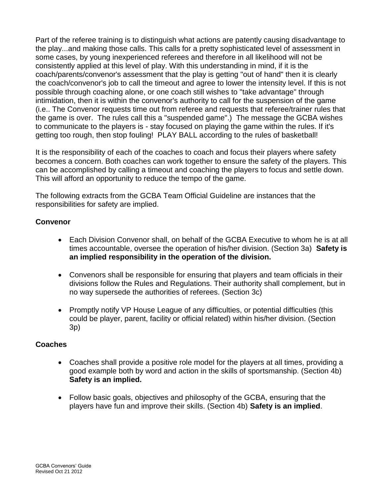Part of the referee training is to distinguish what actions are patently causing disadvantage to the play...and making those calls. This calls for a pretty sophisticated level of assessment in some cases, by young inexperienced referees and therefore in all likelihood will not be consistently applied at this level of play. With this understanding in mind, if it is the coach/parents/convenor's assessment that the play is getting "out of hand" then it is clearly the coach/convenor's job to call the timeout and agree to lower the intensity level. If this is not possible through coaching alone, or one coach still wishes to "take advantage" through intimidation, then it is within the convenor's authority to call for the suspension of the game (i.e.. The Convenor requests time out from referee and requests that referee/trainer rules that the game is over. The rules call this a "suspended game".) The message the GCBA wishes to communicate to the players is - stay focused on playing the game within the rules. If it's getting too rough, then stop fouling! PLAY BALL according to the rules of basketball!

It is the responsibility of each of the coaches to coach and focus their players where safety becomes a concern. Both coaches can work together to ensure the safety of the players. This can be accomplished by calling a timeout and coaching the players to focus and settle down. This will afford an opportunity to reduce the tempo of the game.

The following extracts from the GCBA Team Official Guideline are instances that the responsibilities for safety are implied.

## **Convenor**

- Each Division Convenor shall, on behalf of the GCBA Executive to whom he is at all times accountable, oversee the operation of his/her division. (Section 3a) **Safety is an implied responsibility in the operation of the division.**
- Convenors shall be responsible for ensuring that players and team officials in their divisions follow the Rules and Regulations. Their authority shall complement, but in no way supersede the authorities of referees. (Section 3c)
- Promptly notify VP House League of any difficulties, or potential difficulties (this could be player, parent, facility or official related) within his/her division. (Section 3p)

## **Coaches**

- Coaches shall provide a positive role model for the players at all times, providing a good example both by word and action in the skills of sportsmanship. (Section 4b) **Safety is an implied.**
- Follow basic goals, objectives and philosophy of the GCBA, ensuring that the players have fun and improve their skills. (Section 4b) **Safety is an implied**.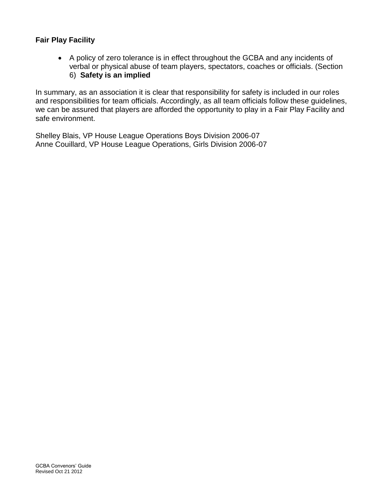## **Fair Play Facility**

 A policy of zero tolerance is in effect throughout the GCBA and any incidents of verbal or physical abuse of team players, spectators, coaches or officials. (Section 6) **Safety is an implied**

In summary, as an association it is clear that responsibility for safety is included in our roles and responsibilities for team officials. Accordingly, as all team officials follow these guidelines, we can be assured that players are afforded the opportunity to play in a Fair Play Facility and safe environment.

Shelley Blais, VP House League Operations Boys Division 2006-07 Anne Couillard, VP House League Operations, Girls Division 2006-07